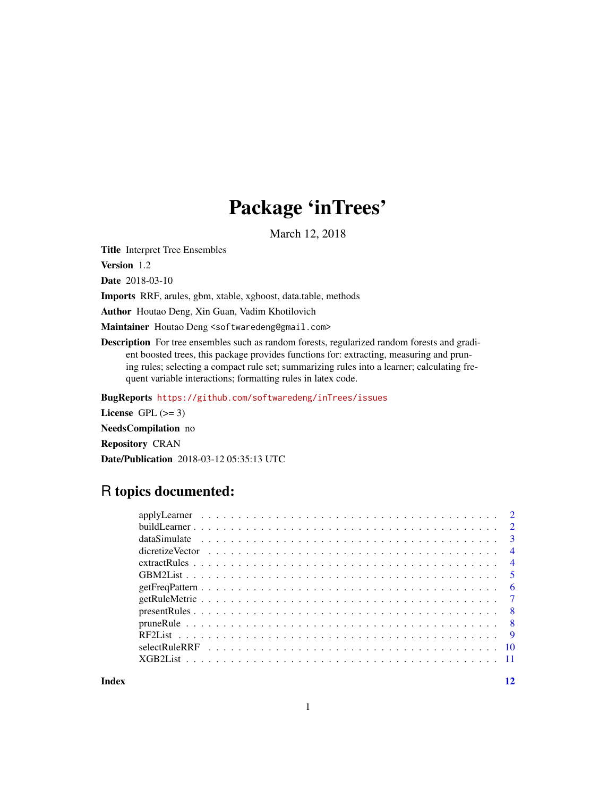## Package 'inTrees'

March 12, 2018

Title Interpret Tree Ensembles

Version 1.2

Date 2018-03-10

Imports RRF, arules, gbm, xtable, xgboost, data.table, methods

Author Houtao Deng, Xin Guan, Vadim Khotilovich

Maintainer Houtao Deng <softwaredeng@gmail.com>

Description For tree ensembles such as random forests, regularized random forests and gradient boosted trees, this package provides functions for: extracting, measuring and pruning rules; selecting a compact rule set; summarizing rules into a learner; calculating frequent variable interactions; formatting rules in latex code.

BugReports <https://github.com/softwaredeng/inTrees/issues>

License GPL  $(>= 3)$ 

NeedsCompilation no

Repository CRAN

Date/Publication 2018-03-12 05:35:13 UTC

## R topics documented:

**Index** [12](#page-11-0)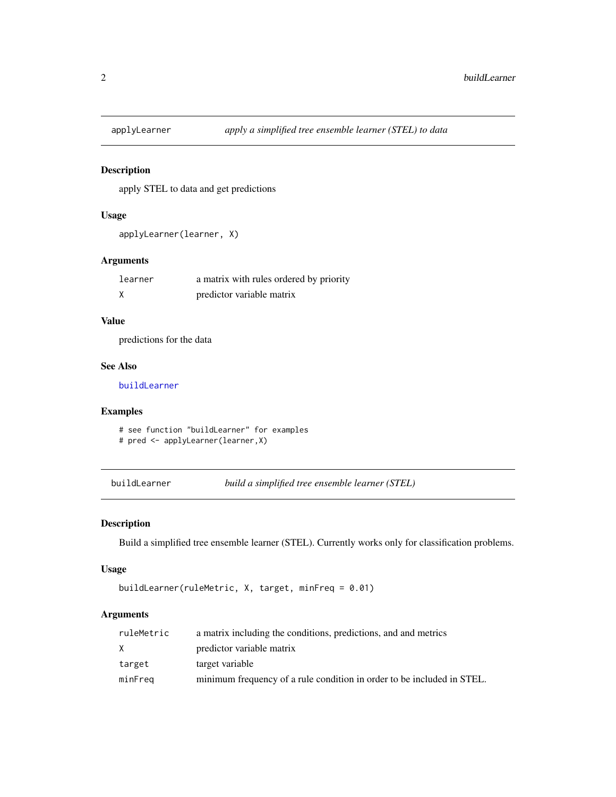<span id="page-1-0"></span>

#### Description

apply STEL to data and get predictions

#### Usage

```
applyLearner(learner, X)
```
#### Arguments

| learner | a matrix with rules ordered by priority |
|---------|-----------------------------------------|
|         | predictor variable matrix               |

#### Value

predictions for the data

#### See Also

[buildLearner](#page-1-1)

#### Examples

```
# see function "buildLearner" for examples
# pred <- applyLearner(learner,X)
```
<span id="page-1-1"></span>buildLearner *build a simplified tree ensemble learner (STEL)*

#### Description

Build a simplified tree ensemble learner (STEL). Currently works only for classification problems.

#### Usage

```
buildLearner(ruleMetric, X, target, minFreq = 0.01)
```
## Arguments

| ruleMetric | a matrix including the conditions, predictions, and and metrics        |
|------------|------------------------------------------------------------------------|
| X.         | predictor variable matrix                                              |
| target     | target variable                                                        |
| minFreq    | minimum frequency of a rule condition in order to be included in STEL. |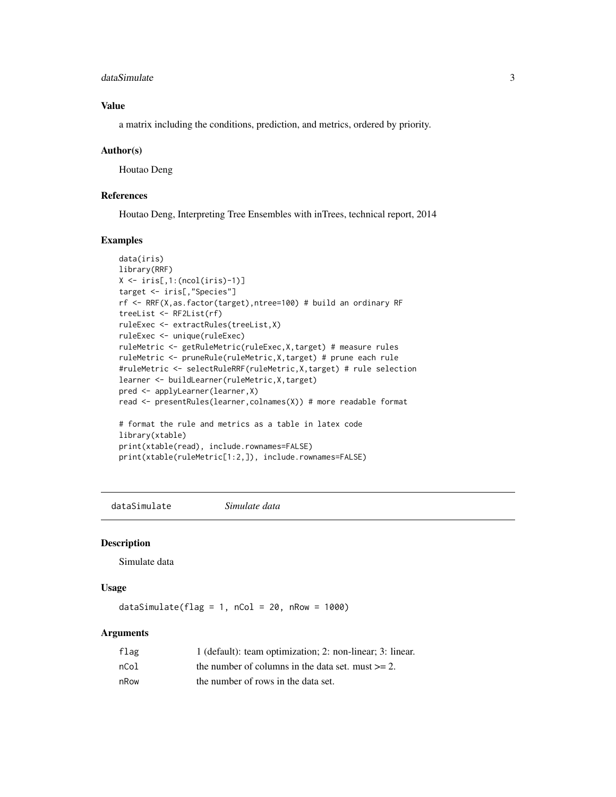#### <span id="page-2-0"></span>dataSimulate 3

#### Value

a matrix including the conditions, prediction, and metrics, ordered by priority.

#### Author(s)

Houtao Deng

#### References

Houtao Deng, Interpreting Tree Ensembles with inTrees, technical report, 2014

#### Examples

```
data(iris)
library(RRF)
X <- iris[,1:(ncol(iris)-1)]
target <- iris[,"Species"]
rf <- RRF(X,as.factor(target),ntree=100) # build an ordinary RF
treeList <- RF2List(rf)
ruleExec <- extractRules(treeList,X)
ruleExec <- unique(ruleExec)
ruleMetric <- getRuleMetric(ruleExec,X,target) # measure rules
ruleMetric <- pruneRule(ruleMetric,X,target) # prune each rule
#ruleMetric <- selectRuleRRF(ruleMetric,X,target) # rule selection
learner <- buildLearner(ruleMetric,X,target)
pred <- applyLearner(learner,X)
read <- presentRules(learner,colnames(X)) # more readable format
# format the rule and metrics as a table in latex code
library(xtable)
print(xtable(read), include.rownames=FALSE)
print(xtable(ruleMetric[1:2,]), include.rownames=FALSE)
```
dataSimulate *Simulate data*

#### Description

Simulate data

#### Usage

dataSimulate(flag = 1,  $nCol = 20$ ,  $nRow = 1000$ )

#### Arguments

| flag | 1 (default): team optimization; 2: non-linear; 3: linear. |
|------|-----------------------------------------------------------|
| nCol | the number of columns in the data set. must $>= 2$ .      |
| nRow | the number of rows in the data set.                       |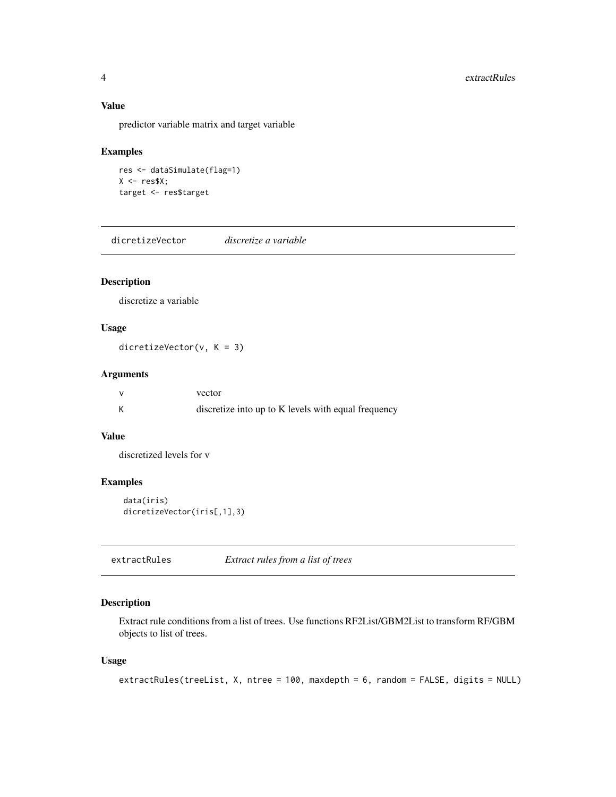## <span id="page-3-0"></span>Value

predictor variable matrix and target variable

#### Examples

```
res <- dataSimulate(flag=1)
X \leftarrow \text{res$X$};target <- res$target
```
dicretizeVector *discretize a variable*

## Description

discretize a variable

## Usage

dicretizeVector(v, K = 3)

#### Arguments

| vector                                              |
|-----------------------------------------------------|
| discretize into up to K levels with equal frequency |

#### Value

discretized levels for v

## Examples

```
data(iris)
dicretizeVector(iris[,1],3)
```
extractRules *Extract rules from a list of trees*

#### Description

Extract rule conditions from a list of trees. Use functions RF2List/GBM2List to transform RF/GBM objects to list of trees.

#### Usage

```
extractRules(treeList, X, ntree = 100, maxdepth = 6, random = FALSE, digits = NULL)
```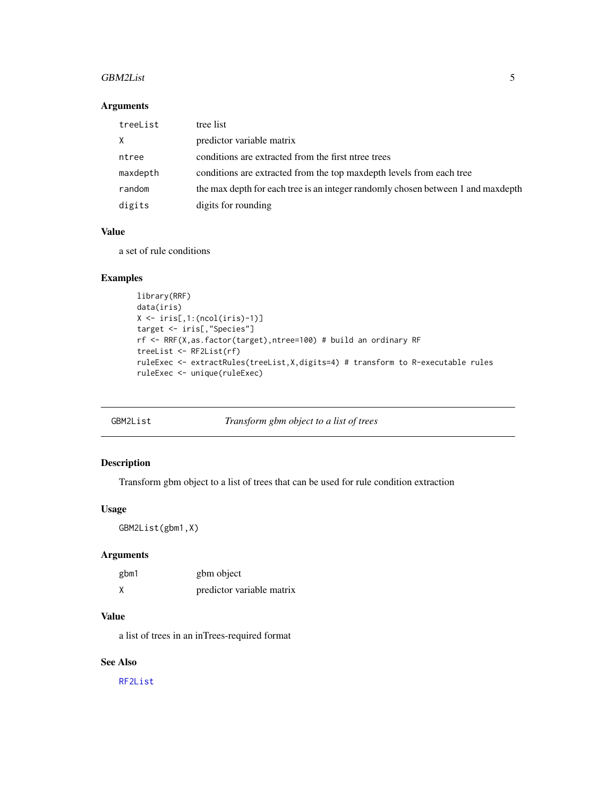#### <span id="page-4-0"></span>GBM2List 5

#### Arguments

| treeList | tree list                                                                        |
|----------|----------------------------------------------------------------------------------|
| X        | predictor variable matrix                                                        |
| ntree    | conditions are extracted from the first ntree trees                              |
| maxdepth | conditions are extracted from the top maxdepth levels from each tree             |
| random   | the max depth for each tree is an integer randomly chosen between 1 and maxdepth |
| digits   | digits for rounding                                                              |

## Value

a set of rule conditions

#### Examples

```
library(RRF)
data(iris)
X \leftarrow \text{iris}[, 1: (\text{ncol}(iris) - 1)]target <- iris[,"Species"]
rf <- RRF(X,as.factor(target),ntree=100) # build an ordinary RF
treeList <- RF2List(rf)
ruleExec <- extractRules(treeList,X,digits=4) # transform to R-executable rules
ruleExec <- unique(ruleExec)
```
<span id="page-4-1"></span>GBM2List *Transform gbm object to a list of trees*

#### Description

Transform gbm object to a list of trees that can be used for rule condition extraction

## Usage

GBM2List(gbm1,X)

#### Arguments

| gbm1 | gbm object                |
|------|---------------------------|
|      | predictor variable matrix |

#### Value

a list of trees in an inTrees-required format

## See Also

[RF2List](#page-8-1)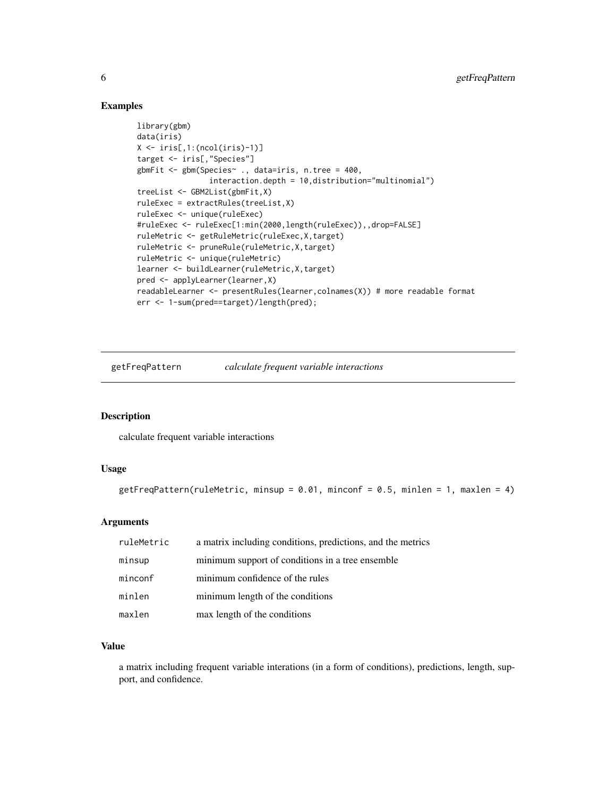#### Examples

```
library(gbm)
data(iris)
X \leftarrow \{ \text{iris}[0,1: (\text{ncol}(iris)-1) \}target <- iris[,"Species"]
gbmFit <- gbm(Species~ ., data=iris, n.tree = 400,
                 interaction.depth = 10,distribution="multinomial")
treeList <- GBM2List(gbmFit,X)
ruleExec = extractRules(treeList,X)
ruleExec <- unique(ruleExec)
#ruleExec <- ruleExec[1:min(2000,length(ruleExec)),,drop=FALSE]
ruleMetric <- getRuleMetric(ruleExec,X,target)
ruleMetric <- pruneRule(ruleMetric,X,target)
ruleMetric <- unique(ruleMetric)
learner <- buildLearner(ruleMetric,X,target)
pred <- applyLearner(learner,X)
readableLearner <- presentRules(learner,colnames(X)) # more readable format
err <- 1-sum(pred==target)/length(pred);
```
getFreqPattern *calculate frequent variable interactions*

#### Description

calculate frequent variable interactions

#### Usage

```
getFreqPattern(ruleMetric, minsup = 0.01, minconf = 0.5, minlen = 1, maxlen = 4)
```
#### Arguments

| ruleMetric | a matrix including conditions, predictions, and the metrics |
|------------|-------------------------------------------------------------|
| minsup     | minimum support of conditions in a tree ensemble.           |
| minconf    | minimum confidence of the rules                             |
| minlen     | minimum length of the conditions                            |
| maxlen     | max length of the conditions                                |

#### Value

a matrix including frequent variable interations (in a form of conditions), predictions, length, support, and confidence.

<span id="page-5-0"></span>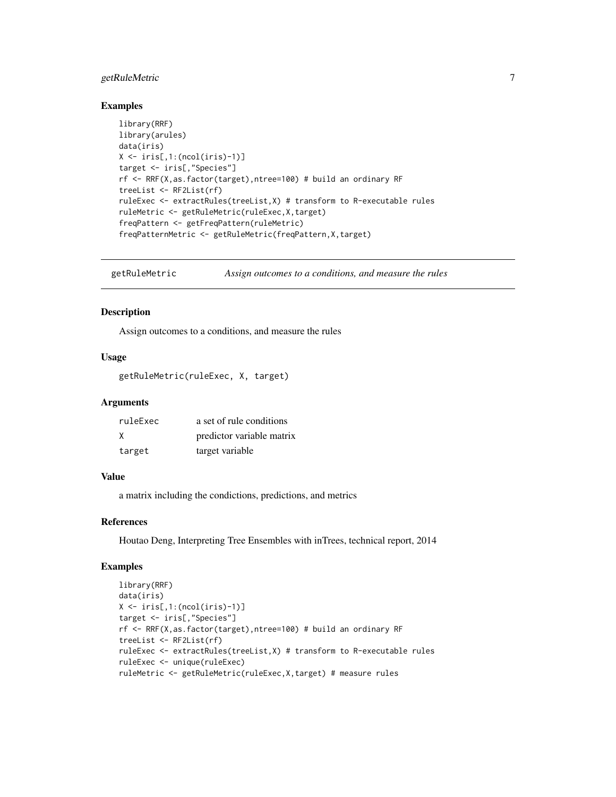## <span id="page-6-0"></span>getRuleMetric 7

#### Examples

```
library(RRF)
library(arules)
data(iris)
X \leftarrow \{ \text{iris}[0,1: (\text{ncol}(iris)-1) \}target <- iris[,"Species"]
rf <- RRF(X,as.factor(target),ntree=100) # build an ordinary RF
treeList <- RF2List(rf)
ruleExec <- extractRules(treeList,X) # transform to R-executable rules
ruleMetric <- getRuleMetric(ruleExec,X,target)
freqPattern <- getFreqPattern(ruleMetric)
freqPatternMetric <- getRuleMetric(freqPattern,X,target)
```
getRuleMetric *Assign outcomes to a conditions, and measure the rules*

#### Description

Assign outcomes to a conditions, and measure the rules

#### Usage

getRuleMetric(ruleExec, X, target)

#### Arguments

| ruleExec | a set of rule conditions  |
|----------|---------------------------|
| X        | predictor variable matrix |
| target   | target variable           |

#### Value

a matrix including the condictions, predictions, and metrics

## References

Houtao Deng, Interpreting Tree Ensembles with inTrees, technical report, 2014

#### Examples

```
library(RRF)
data(iris)
X \leftarrow \{ \text{iris}[0,1: (\text{ncol}(i\text{ris})-1) \}target <- iris[,"Species"]
rf <- RRF(X,as.factor(target),ntree=100) # build an ordinary RF
treeList <- RF2List(rf)
ruleExec <- extractRules(treeList,X) # transform to R-executable rules
ruleExec <- unique(ruleExec)
ruleMetric <- getRuleMetric(ruleExec,X,target) # measure rules
```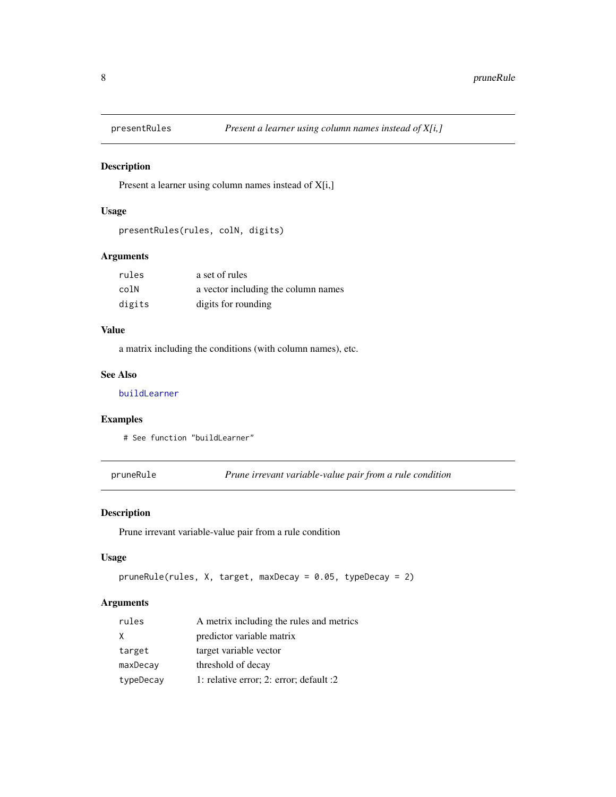<span id="page-7-0"></span>

## Description

Present a learner using column names instead of X[i,]

## Usage

```
presentRules(rules, colN, digits)
```
#### Arguments

| rules  | a set of rules                      |
|--------|-------------------------------------|
| colN   | a vector including the column names |
| digits | digits for rounding                 |

#### Value

a matrix including the conditions (with column names), etc.

#### See Also

[buildLearner](#page-1-1)

#### Examples

# See function "buildLearner"

pruneRule *Prune irrevant variable-value pair from a rule condition*

#### Description

Prune irrevant variable-value pair from a rule condition

#### Usage

```
pruneRule(rules, X, target, maxDecay = 0.05, typeDecay = 2)
```
#### Arguments

| rules     | A metrix including the rules and metrics |
|-----------|------------------------------------------|
| X         | predictor variable matrix                |
| target    | target variable vector                   |
| maxDecay  | threshold of decay                       |
| typeDecay | 1: relative error; 2: error; default :2  |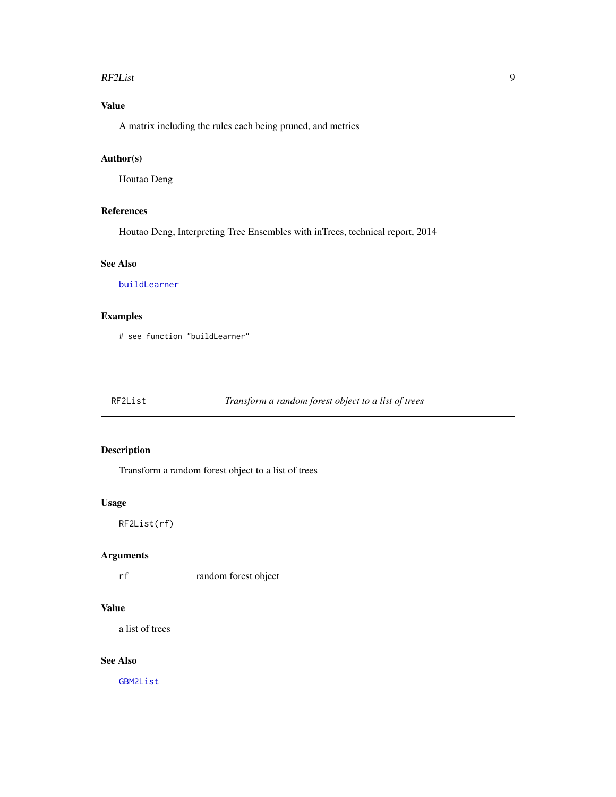#### <span id="page-8-0"></span>RF2List 9

## Value

A matrix including the rules each being pruned, and metrics

#### Author(s)

Houtao Deng

## References

Houtao Deng, Interpreting Tree Ensembles with inTrees, technical report, 2014

## See Also

[buildLearner](#page-1-1)

#### Examples

# see function "buildLearner"

<span id="page-8-1"></span>RF2List *Transform a random forest object to a list of trees*

## Description

Transform a random forest object to a list of trees

#### Usage

RF2List(rf)

#### Arguments

rf random forest object

#### Value

a list of trees

## See Also

[GBM2List](#page-4-1)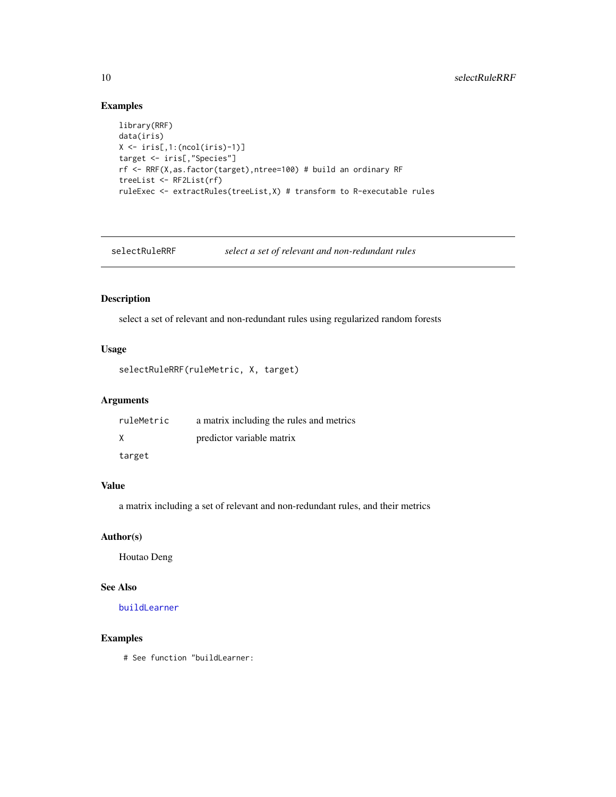## Examples

```
library(RRF)
data(iris)
X \leftarrow \{ \text{iris}[0,1: (\text{ncol}(iris)-1) \}target <- iris[,"Species"]
rf <- RRF(X,as.factor(target),ntree=100) # build an ordinary RF
treeList <- RF2List(rf)
ruleExec <- extractRules(treeList,X) # transform to R-executable rules
```
selectRuleRRF *select a set of relevant and non-redundant rules*

## Description

select a set of relevant and non-redundant rules using regularized random forests

#### Usage

```
selectRuleRRF(ruleMetric, X, target)
```
#### Arguments

| ruleMetric | a matrix including the rules and metrics |
|------------|------------------------------------------|
|            | predictor variable matrix                |
| target     |                                          |

#### Value

a matrix including a set of relevant and non-redundant rules, and their metrics

#### Author(s)

Houtao Deng

#### See Also

[buildLearner](#page-1-1)

#### Examples

# See function "buildLearner:

<span id="page-9-0"></span>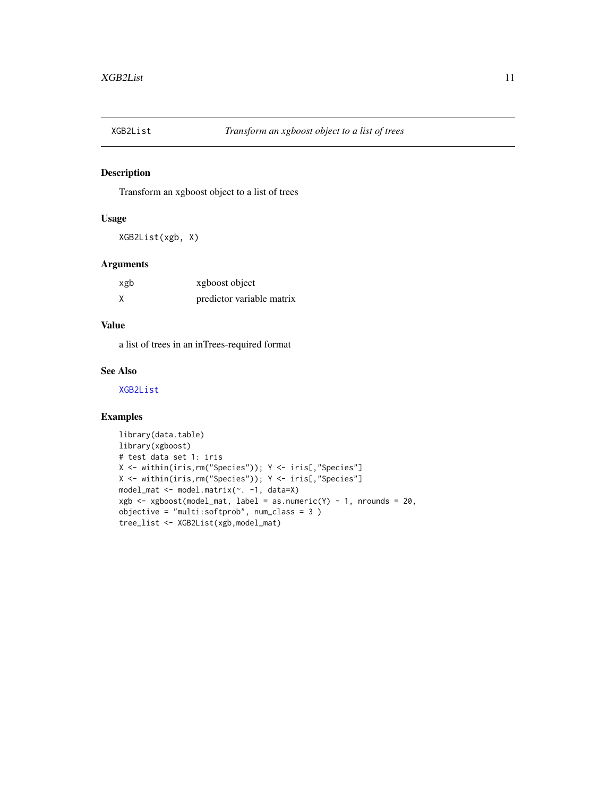<span id="page-10-1"></span><span id="page-10-0"></span>

#### Description

Transform an xgboost object to a list of trees

#### Usage

XGB2List(xgb, X)

#### Arguments

| xgb | xgboost object            |
|-----|---------------------------|
| X   | predictor variable matrix |

#### Value

a list of trees in an inTrees-required format

## See Also

[XGB2List](#page-10-1)

#### Examples

```
library(data.table)
library(xgboost)
# test data set 1: iris
X <- within(iris,rm("Species")); Y <- iris[,"Species"]
X <- within(iris,rm("Species")); Y <- iris[,"Species"]
model_mat <- model.matrix(~. -1, data=X)
xgb <- xgboost(model_mat, label = as.numeric(Y) - 1, nrounds = 20,
objective = "multi:softprob", num_class = 3 )
tree_list <- XGB2List(xgb,model_mat)
```